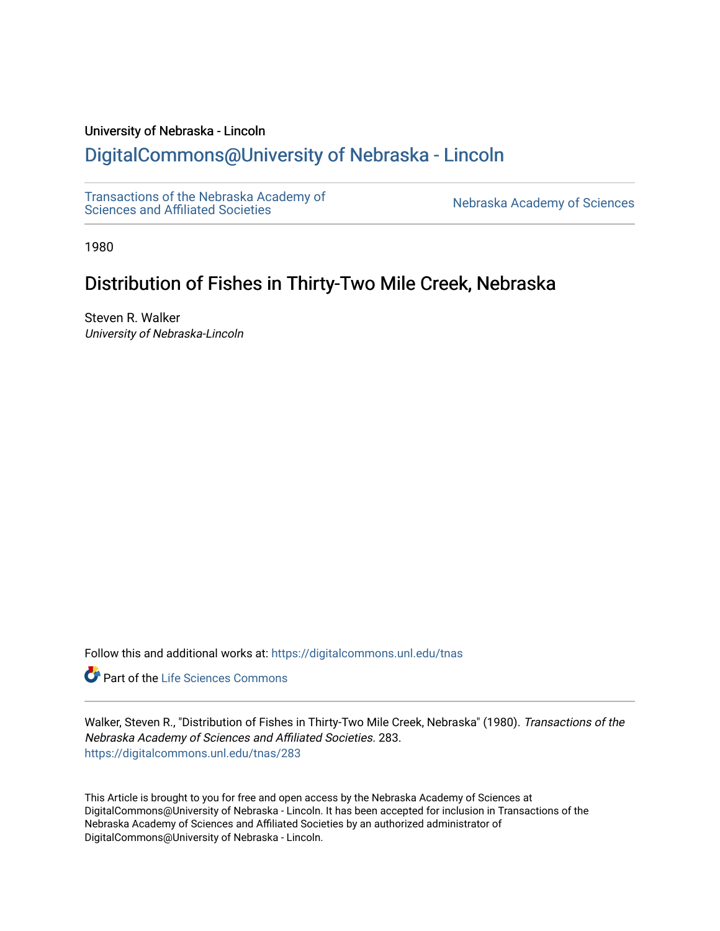# University of Nebraska - Lincoln

# [DigitalCommons@University of Nebraska - Lincoln](https://digitalcommons.unl.edu/)

[Transactions of the Nebraska Academy of](https://digitalcommons.unl.edu/tnas) 

Nebraska Academy of Sciences

1980

# Distribution of Fishes in Thirty-Two Mile Creek, Nebraska

Steven R. Walker University of Nebraska-Lincoln

Follow this and additional works at: [https://digitalcommons.unl.edu/tnas](https://digitalcommons.unl.edu/tnas?utm_source=digitalcommons.unl.edu%2Ftnas%2F283&utm_medium=PDF&utm_campaign=PDFCoverPages) 

Part of the [Life Sciences Commons](http://network.bepress.com/hgg/discipline/1016?utm_source=digitalcommons.unl.edu%2Ftnas%2F283&utm_medium=PDF&utm_campaign=PDFCoverPages) 

Walker, Steven R., "Distribution of Fishes in Thirty-Two Mile Creek, Nebraska" (1980). Transactions of the Nebraska Academy of Sciences and Affiliated Societies. 283. [https://digitalcommons.unl.edu/tnas/283](https://digitalcommons.unl.edu/tnas/283?utm_source=digitalcommons.unl.edu%2Ftnas%2F283&utm_medium=PDF&utm_campaign=PDFCoverPages) 

This Article is brought to you for free and open access by the Nebraska Academy of Sciences at DigitalCommons@University of Nebraska - Lincoln. It has been accepted for inclusion in Transactions of the Nebraska Academy of Sciences and Affiliated Societies by an authorized administrator of DigitalCommons@University of Nebraska - Lincoln.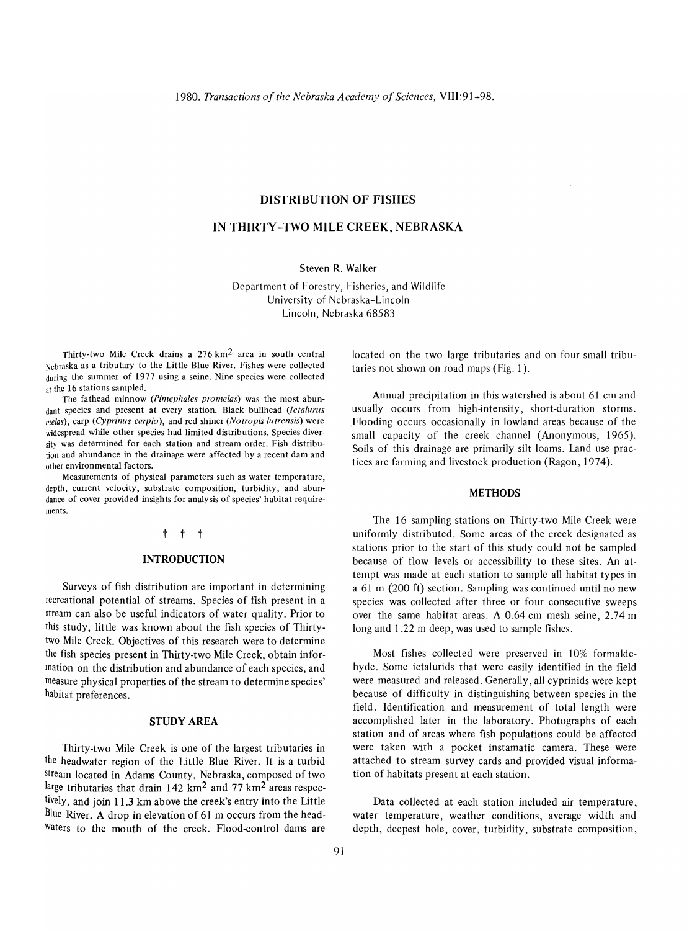### **DISTRIBUTION OF FISHES**

# **IN THIRTY-TWO MILE CREEK, NEBRASKA**

Steven R. Walker

Department of Forestry, Fisheries, and Wildlife University of Nebraska-Lincoln Lincoln, Nebraska 68583

Thirty-two Mile Creek drains a 276 km2 area in south central Nebraska as a tributary to the Little Blue River. Fishes were collected during the summer of 1977 using a seine. Nine species were collected at the 16 stations sampled.

The fathead minnow *(Pimephales promelas)* was the most abundant species and present at every station. Black bullhead *(lctalurus*  melas), carp *(Cyprinus carpio),* and red shiner *(Notropis lutrensis)* were widespread while other species had limited distributions. Species diversity was determined for each station and stream order. Fish distribution and abundance in the drainage were affected by a recent dam and other environmental factors.

Measurements of physical parameters such as water temperature, depth, current velocity, substrate composition, turbidity, and abundance of cover provided insights for analysis of species' habitat requirements.

#### t t t

#### **INTRODUCTION**

Surveys of fish distribution are important in determining recreational potential of streams. Species of fish present in a stream can also be useful indicators of water quality. Prior to this study, little was known about the fish species of Thirtytwo Mile Creek. Objectives of this research were to determine the fish species present in Thirty-two Mile Creek, obtain information on the distribution and abundance of each species, and measure physical properties of the stream to determine species' habitat preferences.

## **STUDY AREA**

Thirty-two Mile Creek is one of the largest tributaries in the headwater region of the Little Blue River. It is a turbid stream located in Adams County, Nebraska, composed of two large tributaries that drain 142  $km^2$  and 77  $km^2$  areas respectively, and join 11.3 km above the creek's entry into the Little Blue River. A drop in elevation of 61 m occurs from the head-Waters to the mouth of the creek. Flood-control dams are

located on the two large tributaries and on four small tributaries not shown on road maps (Fig. 1).

Annual precipitation in this watershed is about 61 cm and usually occurs from high-intensity, short-duration storms. Flooding occurs occasionally in lowland areas because of the small capacity of the creek channel (Anonymous, 1965). Soils of this drainage are primarily silt loams. Land use practices are farming and livestock production (Ragon, 1974).

#### **METHODS**

The 16 sampling stations on Thirty-two Mile Creek were uniformly distributed. Some areas of the creek designated as stations prior to the start of this study could not be sampled because of flow levels or accessibility to these sites. An attempt was made at each station to sample all habitat types in a 61 m (200 ft) section. Sampling was continued until no new species was collected after three or four consecutive sweeps over the same habitat areas. A 0.64 cm mesh seine, 2.74 m long and 1.22 m deep, was used to sample fishes.

Most fishes collected were preserved in 10% formaldehyde. Some ictalurids that were easily identified in the field were measured and released. Generally, all cyprinids were kept because of difficulty in distinguishing between species in the field. Identification and measurement of total length were accomplished later in the laboratory. Photographs of each station and of areas where fish populations could be affected were taken with a pocket instamatic camera. These were attached to stream survey cards and provided visual information of habitats present at each station.

Data collected at each station included air temperature, water temperature, weather conditions, average width and depth, deepest hole, cover, turbidity, substrate composition,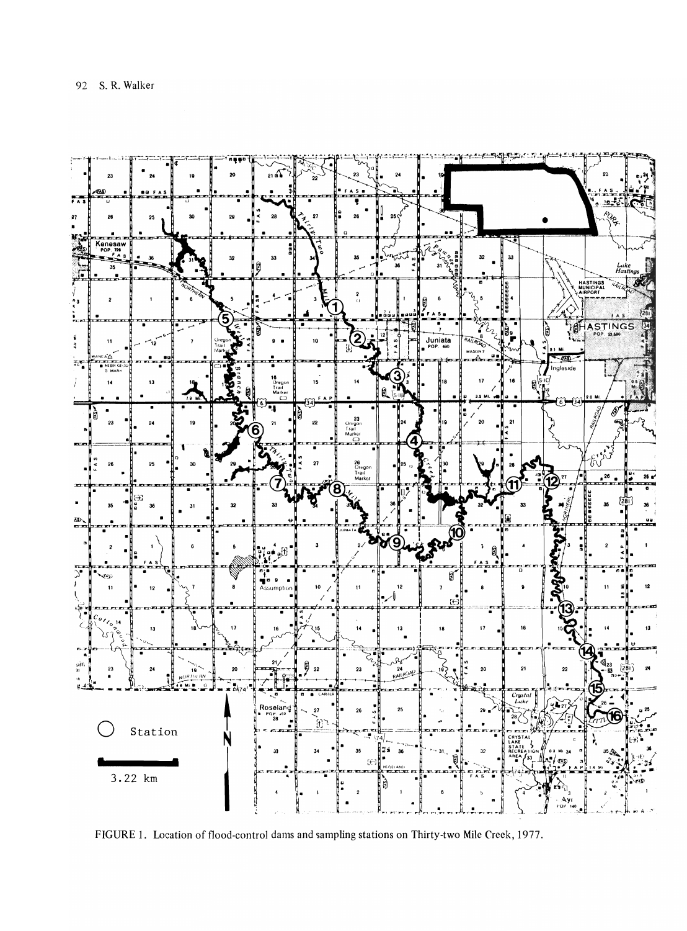

FIGURE 1. Location of flood-control dams and sampling stations on Thirty-two Mile Creek, 1977.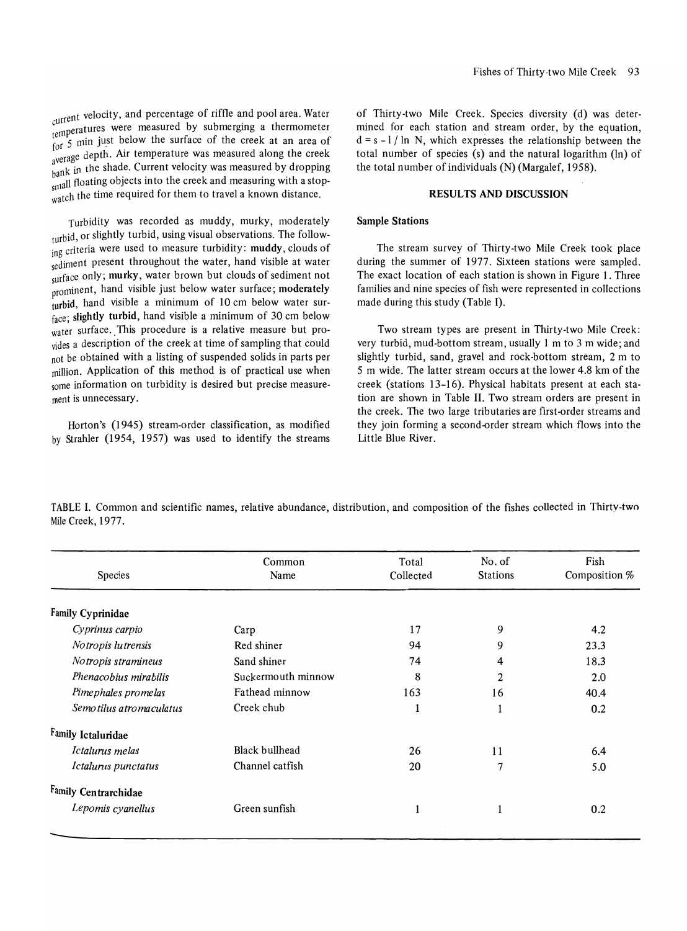current velocity, and percentage of riffle and pool area. Water <sub>cu</sub>rrent velocity, and percentage of fifter and pool area. Water<br><sub>temperatures were measured by submerging a thermometer<br> $\frac{1}{2}$  or 5 min just below the surface of the creek at an area of</sub> for 5 min just below the surface of the creek at an area of average depth. Air temperature was measured along the creek hank in the shade. Current velocity was measured by dropping  $\frac{m}{\text{small}}$  floating objects into the creek and measuring with a stopwatch the time required for them to travel a known distance.

Turbidity was recorded as muddy, murky, moderately turbid, or slightly turbid, using visual observations. The following criteria were used to measure turbidity: muddy, clouds of sediment present throughout the water, hand visible at water surface only; murky, water brown but clouds of sediment not prominent, hand visible just below water surface; moderately turbid, hand visible a minimum of 10 cm below water surface; slightly turbid, hand visible a minimum of 30 cm below water surface. This procedure is a relative measure but provides a description of the creek at time of sampling that could not be obtained with a listing of suspended solids in parts per million. Application of this method is of practical use when some information on turbidity is desired but precise measurement is unnecessary.

Horton's (1945) stream-order classification, as modified by Strahler (1954, 1957) was used to identify the streams of Thirty-two Mile Creek. Species diversity (d) was determined for each station and stream order, by the equation,  $d = s - 1 / ln N$ , which expresses the relationship between the total number of species (s) and the natural logarithm (In) of the total number of individuals (N) (Margalef, 1958).

## RESULTS AND DISCUSSION

#### Sample Stations

The stream survey of Thirty-two Mile Creek took place during the summer of 1977. Sixteen stations were sampled. The exact location of each station is shown in Figure 1. Three families and nine species of fish were represented in collections made during this study (Table I).

Two stream types are present in Thirty-two Mile Creek: very turbid, mud-bottom stream, usually I m to 3 m wide; and slightly turbid, sand, gravel and rock-bottom stream, 2 m to 5 m wide. The latter stream occurs at the lower 4.8 km of the creek (stations 13-16). Physical habitats present at each station are shown in Table II. Two stream orders are present in the creek. The two large tributaries are first-order streams and they join forming a second-order stream which flows into the Little Blue River.

TABLE I. Common and scientific names, relative abundance, distribution, and composition of the fishes collected in Thirty-two Mile Creek, 1977.

| Species                 | Common<br>Name     | Total<br>Collected | No. of<br><b>Stations</b> | Fish<br>Composition % |  |  |
|-------------------------|--------------------|--------------------|---------------------------|-----------------------|--|--|
| Family Cyprinidae       |                    |                    |                           |                       |  |  |
| Cyprinus carpio         | Carp               | 17                 | 9                         | 4.2                   |  |  |
| Notropis lutrensis      | Red shiner         | 94                 | 9                         | 23.3                  |  |  |
| Notropis stramineus     | Sand shiner        | 74                 | 4                         | 18.3                  |  |  |
| Phenacobius mirabilis   | Suckermouth minnow | 8                  | 2                         | 2.0                   |  |  |
| Pimephales promelas     | Fathead minnow     | 163                | 16                        | 40.4                  |  |  |
| Semotilus atromaculatus | Creek chub         | 1                  | 1                         | 0.2                   |  |  |
| Family Ictaluridae      |                    |                    |                           |                       |  |  |
| Ictalurus melas         | Black bullhead     | 26                 | 11                        | 6.4                   |  |  |
| Ictalurus punctatus     | Channel catfish    | 20                 | 7                         | 5.0                   |  |  |
| Family Centrarchidae    |                    |                    |                           |                       |  |  |
| Lepomis cyanellus       | Green sunfish      |                    |                           | 0.2                   |  |  |
|                         |                    |                    |                           |                       |  |  |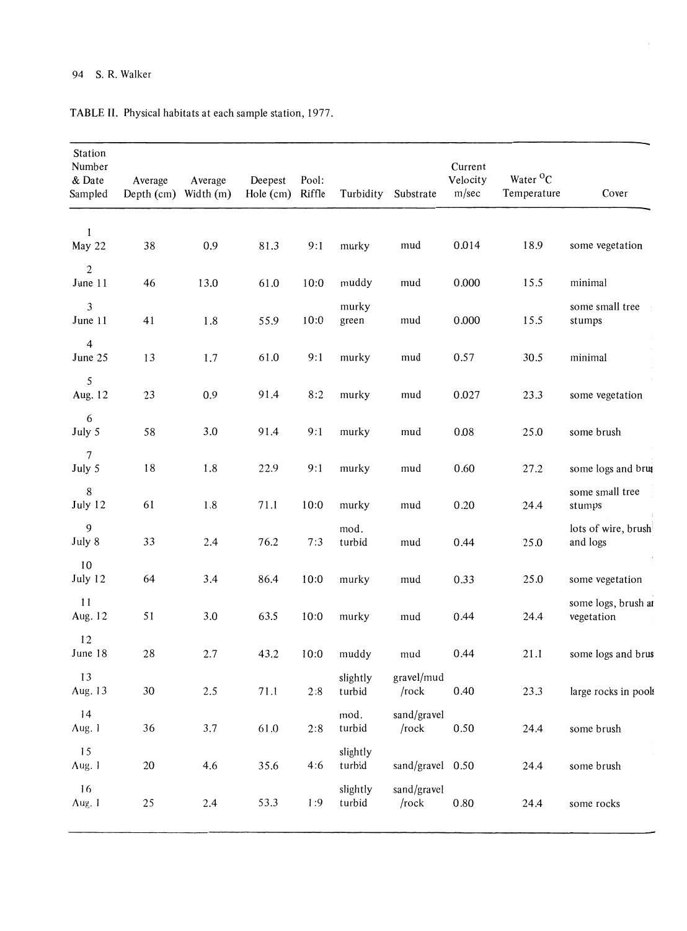# 94 S. R. Walker

| Station<br>Number<br>& Date<br>Sampled | Average<br>Depth $(cm)$ | Average<br>Width (m) | Deepest<br>Hole (cm) | Pool:<br>Riffle | Turbidity          | Substrate                               | Current<br>Velocity<br>m/sec | Water <sup>O</sup> C<br>Temperature | Cover                             |  |  |
|----------------------------------------|-------------------------|----------------------|----------------------|-----------------|--------------------|-----------------------------------------|------------------------------|-------------------------------------|-----------------------------------|--|--|
| 1<br>May 22                            | 38                      | 0.9                  | 81.3                 | 9:1             | murky              | 0.014<br>mud                            |                              | 18.9                                | some vegetation                   |  |  |
| $\mathbf{2}$<br>June 11                | 46                      | 13.0                 | 61.0                 | 10:0            | muddy              | 15.5<br>0.000<br>mud                    |                              | minimal                             |                                   |  |  |
| 3<br>June 11                           | 41                      | 1.8                  | 55.9                 | 10:0            | murky<br>green     | 15.5<br>mud<br>0.000                    |                              | some small tree<br>stumps           |                                   |  |  |
| $\overline{4}$<br>June 25              | 13                      | 1.7                  | 61.0                 | 9:1             | murky              | 0.57<br>30.5<br>mud                     |                              |                                     | minimal                           |  |  |
| 5<br>Aug. 12                           | 23                      | 0.9                  | 91.4                 | 8:2             | murky              | 0.027<br>23.3<br>mud                    |                              |                                     | some vegetation                   |  |  |
| 6<br>July 5                            | 58                      | 3.0                  | 91.4                 | 9:1             | murky              | mud                                     | 0.08<br>25.0                 |                                     | some brush                        |  |  |
| 7<br>July 5                            | 18                      | 1.8                  | 22.9                 | 9:1             | murky              | mud<br>0.60<br>27.2                     |                              |                                     | some logs and brus                |  |  |
| 8<br>July 12                           | 61                      | 1.8                  | 71.1                 | 10:0            | murky              | 0.20<br>24.4<br>mud                     |                              |                                     | some small tree<br>stumps         |  |  |
| 9<br>July 8                            | 33                      | 2.4                  | 76.2                 | 7:3             | mod.<br>turbid     | mud<br>0.44<br>25.0                     |                              |                                     | lots of wire, brush<br>and logs   |  |  |
| 10<br>July 12                          | 64                      | 3.4                  | 86.4                 | 10:0            | murky              | mud<br>0.33                             |                              | 25.0                                | some vegetation                   |  |  |
| 11<br>Aug. 12                          | 51                      | 3.0                  | 63.5                 | 10:0            | murky              | mud                                     | 0.44                         | 24.4                                | some logs, brush at<br>vegetation |  |  |
| 12<br>June 18                          | 28                      | 2.7                  | 43.2                 | 10:0            | muddy              | mud                                     | 0.44                         | 21.1                                | some logs and brus                |  |  |
| 13<br>Aug. 13                          | 30                      | 2.5                  | 71.1                 | 2:8             | slightly<br>turbid | gravel/mud<br>/rock                     | 0.40                         | 23.3                                | large rocks in pools              |  |  |
| 14<br>Aug. 1                           | 36                      | 3.7                  | 61.0                 | 2:8             | mod.<br>turbid     | sand/gravel<br>/rock                    | 0.50                         | 24.4                                | some brush                        |  |  |
| 15<br>Aug. 1                           | 20                      | 4.6                  | 35.6                 | 4:6             | slightly<br>turbid | sand/gravel 0.50                        |                              | 24.4                                | some brush                        |  |  |
| 16<br>Aug. 1                           | 25                      | 2.4                  | 53.3                 | 1:9             | slightly<br>turbid | sand/gravel<br>$/r$ ock<br>0.80<br>24.4 |                              |                                     | some rocks                        |  |  |

TABLE II. Physical habitats at each sample station, 1977.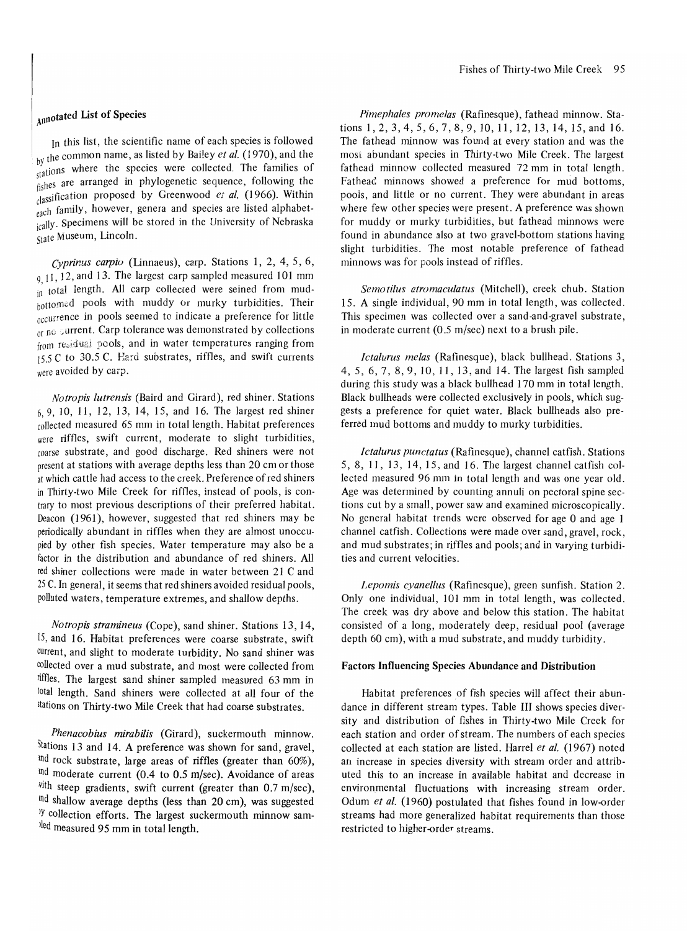# Annotated List of Species

In this list, the scientific name of each species is followed by the common name, as listed by Bailey *et al.* (1970), and the  $b_1$  the species were collected. The families of fishes are arranged in phylogenetic sequence, following the tJI~ssification proposed by Greenwood *ct al.* (1966). Within <sub>each</sub> family, however, genera and species are listed alphabetically. Specimens will be stored in the University of Nebraska State Museum, Lincoln.

*Cyprinus carpio* (Linnaeus), carp. Stations 1, 2, 4,5,6,  $9.11, 12$ , and 13. The largest carp sampled measured 101 mm in total length. All carp collected were seined from mudbottomed pools with muddy or murky turbidities. Their occurrence in pools seemed to indicate a preference for little or no surrent. Carp tolerance was demonstrated by collections from residual pools, and in water temperatures ranging from 15.5 C to 30.5 C. Hard substrates, riffles, and swift currents were avoided by carp.

*Notropis lutrcnsis* (Baird and Girard), red shiner. Stations 6,9,10,11,12,13,14,15, and 16. The largest red shiner collected measured 65 mm in total length. Habitat preferences were riffles, swift current, moderate to slight turbidities, coarse substrate, and good discharge. Red shiners were not present at stations with average depths less than 20 cm or those at which cattle had access to the creek. Preference of red shiners in Thirty-two Mile Creek for riffles, instead of pools, is contrary to most previous descriptions of their preferred habitat. Deacon (1961), however, suggested that red shiners may be periodically abundant in riffles when they are almost unoccupied by other fish species. Water temperature may also be a factor in the distribution and abundance of red shiners. All red shiner collections were made in water between 21 C and <sup>25</sup>C. In general, it seems that red shiners avoided residual pools, polluted waters, temperature extremes, and shallow depths.

*Notropis stramineus* (Cope), sand shiner. Stations 13, 14, 15, and 16. Habitat preferences were coarse substrate, swift current, and slight to moderate turbidity. No sand shiner was collected over a mud substrate, and most were collected from riffles. The largest sand shiner sampled measured 63 mm in total length. Sand shiners were collected at all four of the stations on Thirty-two Mile Creek that had coarse substrates.

*Phenacobius mirabilis* (Girard), suckermouth minnow. Stations 13 and 14. A preference was shown for sand, gravel, md rock substrate, large areas of riffles (greater than 60%), md moderate current (0.4 to 0.5 m/sec). Avoidance of areas  $*$ ith steep gradients, swift current (greater than 0.7 m/sec), md shallow average depths (less than 20 cm), was suggested  $y$  collection efforts. The largest suckermouth minnow sam $l$ <sup>led</sup> measured 95 mm in total length.

*Pimephalcs promclas* (Rafinesque), fathead minnow. Stations I, 2, 3, 4, 5, 6, 7, 8, 9, 10, 11, 12, 13, 14, 15, and 16. The fathead minnow was found at every station and was the most abundant species in Thirty-two Mile Creek. The largest fathead minnow collected measured 72 mm in total length. Fathead minnows showed a preference for mud bottoms, poois, and little or no current. They were abundant in areas where few other species were present. A preference was shown for muddy or murky turbidities, but fathead minnows were found in abundance also at two gravel-bottom stations having slight turbidities. The most notable preference of fathead minnows was for pools instead of riffles.

*Scmotilus atromaculatus* (Mitchell), creek chub. Station IS. A single individual, 90 mm in total length, was collected. This specimen was collected over a sand-and-gravel substrate, in moderate current (0.5 m/sec) next to a brush pile.

*Ictalurus mclas* (Rafinesque), black bullhead. Stations 3, 4,5,6,7,8,9,10,11,13, and 14. The largest fish sampled during this study was a black bullhead 170 mm in total length. Black bullheads were collected exclusively in pools, which suggests a preference for quiet water. Black bullheads also preferred mud bottoms and muddy to murky turbidities.

*Ictalurus punctatus* (Rafinesque), channel catfish. Stations 5,8, II, 13, 14,15, and 16. The largest channel catfish collected measured 96 mm in total length and was one year old. Age was determined by counting annuli on pectoral spine sections cut by a small, power saw and examined microscopically. No general habitat trends were observed for age 0 and age 1 channel catfish. Collections were made over sand, gravel, rock, and mud substrates; in riffles and pools; and in varying turbidities and current velocities.

*Lcpomis cyancllus* (Rafinesque), green sunfish. Station 2. Only one individual, 101 mm in total length, was collected. The creek was dry above and below this station. The habitat consisted of a long, moderately deep, residual pool (average depth 60 cm), with a mud substrate, and muddy turbidity.

#### Factors Influencing Species Abundance and Distribution

Habitat preferences of fish species will affect their abundance in different stream types. Table III shows species diversity and distribution of fishes in Thirty-two Mile Creek for each station and order of stream. The numbers of each species collected at each station are listed. Harrel *ct al.* (1967) noted an increase in species diversity with stream order and attributed this to an increase in available habitat and decrease in environmental fluctuations with increasing stream order. Odum *et al.* (1960) postulated that fishes found in low-order streams had more generalized habitat requirements than those restricted to higher-order streams.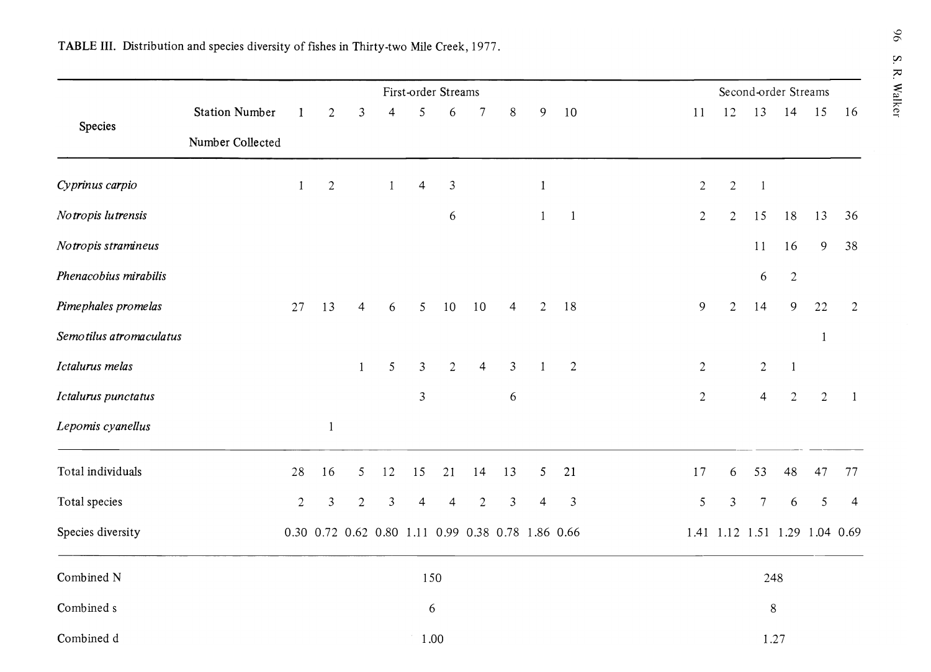|                         | First-order Streams   |                |                                                   |                |                |                |                | Second-order Streams |                  |                |                         |                |                               |                |                  |              |                |
|-------------------------|-----------------------|----------------|---------------------------------------------------|----------------|----------------|----------------|----------------|----------------------|------------------|----------------|-------------------------|----------------|-------------------------------|----------------|------------------|--------------|----------------|
|                         | <b>Station Number</b> | $\mathbf{1}$   | $\sqrt{2}$                                        | 3              | $\overline{4}$ | 5              | 6              | $\tau$               | $\,8\,$          | 9              | 10                      | 11             | 12                            | 13             | 14               | 15           | 16             |
| Species                 | Number Collected      |                |                                                   |                |                |                |                |                      |                  |                |                         |                |                               |                |                  |              |                |
| Cyprinus carpio         |                       | $\mathbf{1}$   | $\overline{c}$                                    |                | $\mathbf{1}$   | $\overline{4}$ | 3              |                      |                  | $\mathbf{1}$   |                         | $\overline{2}$ | $\overline{2}$                | $\mathbf{1}$   |                  |              |                |
| Notropis lutrensis      |                       |                |                                                   |                |                |                | $\epsilon$     |                      |                  | $\mathbf{1}$   | $\mathbf{1}$            | $\overline{2}$ | $\overline{2}$                | 15             | 18               | 13           | 36             |
| Notropis stramineus     |                       |                |                                                   |                |                |                |                |                      |                  |                |                         |                |                               | 11             | 16               | 9            | 38             |
| Phenacobius mirabilis   |                       |                |                                                   |                |                |                |                |                      |                  |                |                         |                |                               | 6              | $\sqrt{2}$       |              |                |
| Pimephales promelas     |                       | 27             | 13                                                | $\overline{4}$ | 6              | 5              | 10             | 10                   | $\overline{4}$   | $\overline{2}$ | 18                      | 9              | $\overline{2}$                | 14             | 9                | 22           | $\overline{2}$ |
| Semotilus atromaculatus |                       |                |                                                   |                |                |                |                |                      |                  |                |                         |                |                               |                |                  | $\mathbf{1}$ |                |
| Ictalurus melas         |                       |                |                                                   | $\mathbf{1}$   | 5              | $\overline{3}$ | $\overline{2}$ | $\overline{4}$       | $\mathfrak{Z}$   | $\mathbf{1}$   | $\overline{c}$          | $\overline{2}$ |                               | $\overline{2}$ | $\mathbf{1}$     |              |                |
| Ictalurus punctatus     |                       |                |                                                   |                |                | $\mathfrak{Z}$ |                |                      | $\boldsymbol{6}$ |                |                         | $\sqrt{2}$     |                               | $\overline{4}$ | $\sqrt{2}$       | $\sqrt{2}$   | $\mathbf{1}$   |
| Lepomis cyanellus       |                       |                | $\mathbf{1}$                                      |                |                |                |                |                      |                  |                |                         |                |                               |                |                  |              |                |
| Total individuals       |                       | 28             | 16                                                | 5              | 12             | 15             | 21             | 14                   | 13               | 5              | 21                      | 17             | 6                             | 53             | 48               | 47           | 77             |
| Total species           |                       | $\overline{c}$ | $\mathfrak{Z}$                                    | $\overline{2}$ | 3              | $\overline{4}$ | $\overline{4}$ | $\overline{2}$       | $\mathfrak{Z}$   | $\overline{4}$ | $\overline{\mathbf{3}}$ | $\sqrt{5}$     | $\mathfrak{Z}$                | $\overline{7}$ | $\boldsymbol{6}$ | 5            | $\overline{4}$ |
| Species diversity       |                       |                | 0.30 0.72 0.62 0.80 1.11 0.99 0.38 0.78 1.86 0.66 |                |                |                |                |                      |                  |                |                         |                | 1.41 1.12 1.51 1.29 1.04 0.69 |                |                  |              |                |
| Combined N              | 150                   |                |                                                   |                |                |                |                |                      | 248              |                |                         |                |                               |                |                  |              |                |
| Combined s              | 6                     |                |                                                   |                |                |                |                | $8\,$                |                  |                |                         |                |                               |                |                  |              |                |
| Combined d              |                       | 1.00           |                                                   |                |                |                |                |                      |                  |                | 1.27                    |                |                               |                |                  |              |                |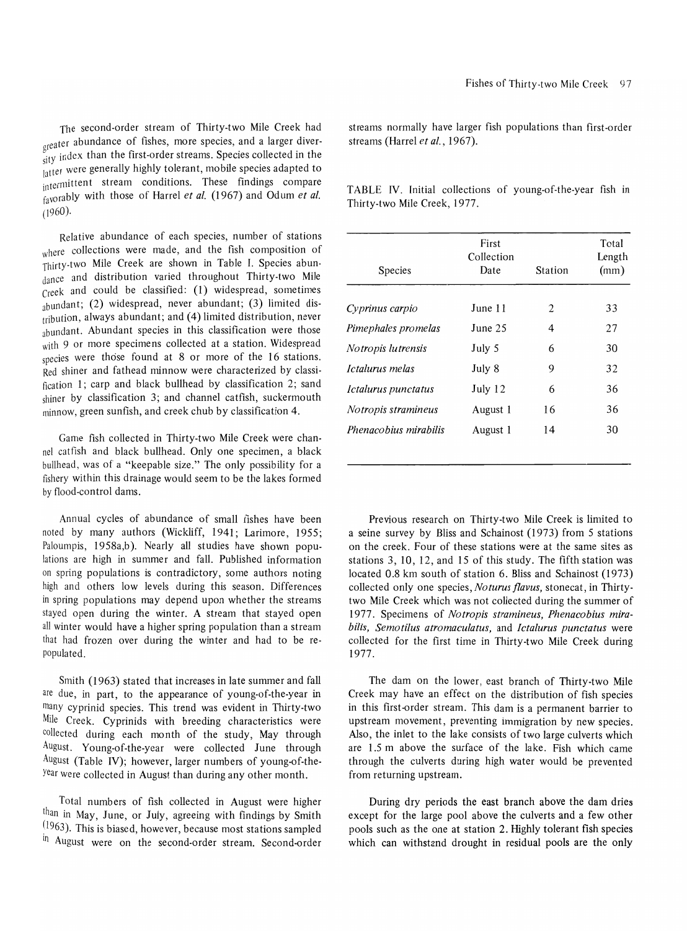The second-order stream of Thirty-two Mile Creek had oreater abundance of fishes, more species, and a larger diver-  $\frac{\sigma}{\text{d}t}$  index than the first-order streams. Species collected in the latter were generally highly tolerant, mobile species adapted to intermittent stream conditions. These findings compare favorably with those of Harrel *et al.* (1967) and Odum *et al.*  (1960).

Relative abundance of each species, number of stations where collections were made, and the fish composition of Thirty·two Mile Creek are shown in Table I. Species abundance and distribution varied throughout Thirty-two Mile Creek and could be classified: (1) widespread, sometimes abundant; (2) widespread, never abundant; (3) limited distribution, always abundant; and (4) limited distribution, never abundant. Abundant species in this classification were those with 9 or more specimens collected at a station. Widespread species were those found at 8 or more of the 16 stations. Red shiner and fathead minnow were characterized by classification 1; carp and black bullhead by classification 2; sand shiner by classification 3; and channel catfish, suckermouth minnow, green sunfish, and creek chub by classification 4.

Game fish collected in Thirty-two Mile Creek were channel catfish and black bullhead. Only one specimen, a black bullhead, was of a "keepable size." The only possibility for a fishery within this drainage would seem to be the lakes formed by flood-control dams.

Annual cycles of abundance of small fishes have been noted by many authors (Wickliff, 1941; Larimore, 1955; Paloumpis, 1958a,b). Nearly all studies have shown populations are high in summer and fall. Published information on spring populations is contradictory, some authors noting high and others low levels during this season. Differences in spring populations may depend upon whether the streams stayed open during the winter. A stream that stayed open all winter would have a higher spring population than a stream that had frozen over during the winter and had to be repopulated.

Smith (1963) stated that increases in late summer and fall are due, in part, to the appearance of young-of-the-year in many cyprinid species. This trend was evident in Thirty-two Mile Creek. Cyprinids with breeding characteristics were collected during each month of the study, May through August. Young-of-the-year were collected June through August (Table IV); however, larger numbers of young-of-theyear were collected in August than during any other month.

Total numbers of fish collected in August were higher than in May, June, or July, agreeing with findings by Smith  $(1963)$ . This is biased, however, because most stations sampled <sup>In</sup> August were on the second-order stream. Second-order

streams normally have larger fish populations than first-order streams (Harrel *et al., 1967).* 

TABLE IV. Initial collections of young-of-the-year fish in Thirty-two Mile Creek, 1977.

| <b>Species</b>            | First<br>Collection<br>Date | Station        | Total<br>Length<br>(mm) |  |  |
|---------------------------|-----------------------------|----------------|-------------------------|--|--|
| Cyprinus carpio           | June 11                     | $\overline{a}$ | 33                      |  |  |
| Pimephales promelas       | June $25$                   | 4              | 27                      |  |  |
| <i>Notropis lutrensis</i> | July 5                      | 6              | 30                      |  |  |
| Ictalurus melas           | July 8                      | 9              | 32                      |  |  |
| Ictalurus punctatus       | July 12                     | 6              | 36                      |  |  |
| Notropis stramineus       | August 1                    | 16             | 36                      |  |  |
| Phenacobius mirabilis     | August 1                    | 14             | 30                      |  |  |

Previous research on Thirty-two Mile Creek is limited to a seine survey by Bliss and Schainost (1973) from 5 stations on the creek. Four of these stations were at the same sites as stations 3, 10, 12, and 15 of this study. The fifth station was located 0.8 km south of station 6. Bliss and Schainost (1973) collected only one species, *Noturus f!avus,* stonecat, in Thirtytwo Mile Creek which was not collected during the summer of 1977. Specimens of *Notropis stramineus, Phenacobius mirabilis, Semotilus atromaculatus,* and *Ictalurus punctatus* were collected for the first time in Thirty-two Mile Creek during 1977.

The dam on the lower, east branch of Thirty-two Mile Creek may have an effect on the distribution of fish species in this first-order stream. This dam is a permanent barrier to upstream movement, preventing immigration by new species. Also, the inlet to the lake consists of two large culverts which are 1.5 m above the surface of the lake. Fish which came through the culverts during high water would be prevented from returning upstream.

During dry periods the east branch above the dam dries except for the large pool above the culverts and a few other pools such as the one at station 2. Highly tolerant fish species which can withstand drought in residual pools are the only